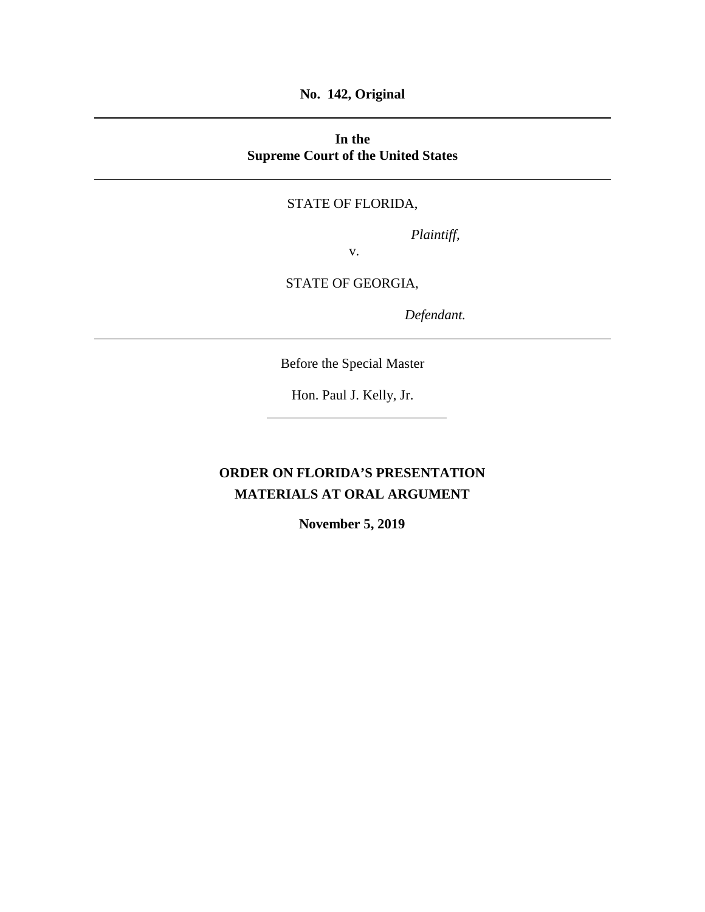**No. 142, Original**

## **In the Supreme Court of the United States**

#### STATE OF FLORIDA,

*Plaintiff,*

v.

## STATE OF GEORGIA,

*Defendant.*

Before the Special Master

Hon. Paul J. Kelly, Jr.

# **ORDER ON FLORIDA'S PRESENTATION MATERIALS AT ORAL ARGUMENT**

**November 5, 2019**